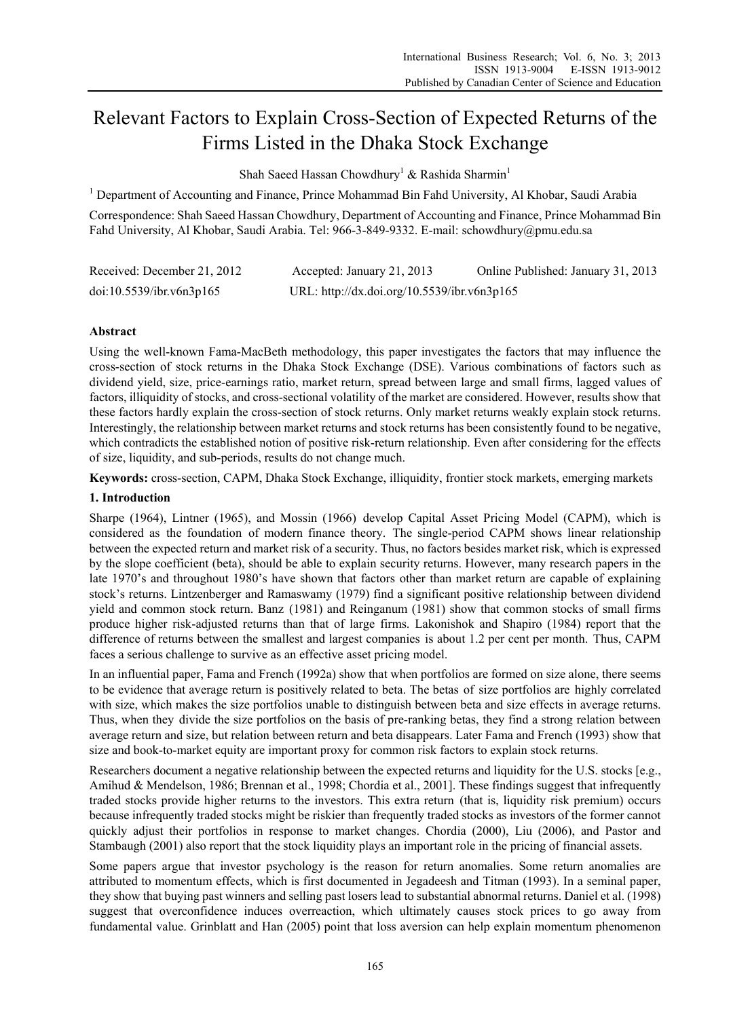# Relevant Factors to Explain Cross-Section of Expected Returns of the Firms Listed in the Dhaka Stock Exchange

Shah Saeed Hassan Chowdhury<sup>1</sup> & Rashida Sharmin<sup>1</sup>

<sup>1</sup> Department of Accounting and Finance, Prince Mohammad Bin Fahd University, Al Khobar, Saudi Arabia

Correspondence: Shah Saeed Hassan Chowdhury, Department of Accounting and Finance, Prince Mohammad Bin Fahd University, Al Khobar, Saudi Arabia. Tel: 966-3-849-9332. E-mail: schowdhury@pmu.edu.sa

| Received: December 21, 2012 | Accepted: January 21, 2013                  | Online Published: January 31, 2013 |
|-----------------------------|---------------------------------------------|------------------------------------|
| doi:10.5539/ibr.v6n3p165    | URL: http://dx.doi.org/10.5539/ibr.v6n3p165 |                                    |

# **Abstract**

Using the well-known Fama-MacBeth methodology, this paper investigates the factors that may influence the cross-section of stock returns in the Dhaka Stock Exchange (DSE). Various combinations of factors such as dividend yield, size, price-earnings ratio, market return, spread between large and small firms, lagged values of factors, illiquidity of stocks, and cross-sectional volatility of the market are considered. However, results show that these factors hardly explain the cross-section of stock returns. Only market returns weakly explain stock returns. Interestingly, the relationship between market returns and stock returns has been consistently found to be negative, which contradicts the established notion of positive risk-return relationship. Even after considering for the effects of size, liquidity, and sub-periods, results do not change much.

**Keywords:** cross-section, CAPM, Dhaka Stock Exchange, illiquidity, frontier stock markets, emerging markets

## **1. Introduction**

Sharpe (1964), Lintner (1965), and Mossin (1966) develop Capital Asset Pricing Model (CAPM), which is considered as the foundation of modern finance theory. The single-period CAPM shows linear relationship between the expected return and market risk of a security. Thus, no factors besides market risk, which is expressed by the slope coefficient (beta), should be able to explain security returns. However, many research papers in the late 1970's and throughout 1980's have shown that factors other than market return are capable of explaining stock's returns. Lintzenberger and Ramaswamy (1979) find a significant positive relationship between dividend yield and common stock return. Banz (1981) and Reinganum (1981) show that common stocks of small firms produce higher risk-adjusted returns than that of large firms. Lakonishok and Shapiro (1984) report that the difference of returns between the smallest and largest companies is about 1.2 per cent per month. Thus, CAPM faces a serious challenge to survive as an effective asset pricing model.

In an influential paper, Fama and French (1992a) show that when portfolios are formed on size alone, there seems to be evidence that average return is positively related to beta. The betas of size portfolios are highly correlated with size, which makes the size portfolios unable to distinguish between beta and size effects in average returns. Thus, when they divide the size portfolios on the basis of pre-ranking betas, they find a strong relation between average return and size, but relation between return and beta disappears. Later Fama and French (1993) show that size and book-to-market equity are important proxy for common risk factors to explain stock returns.

Researchers document a negative relationship between the expected returns and liquidity for the U.S. stocks [e.g., Amihud & Mendelson, 1986; Brennan et al., 1998; Chordia et al., 2001]. These findings suggest that infrequently traded stocks provide higher returns to the investors. This extra return (that is, liquidity risk premium) occurs because infrequently traded stocks might be riskier than frequently traded stocks as investors of the former cannot quickly adjust their portfolios in response to market changes. Chordia (2000), Liu (2006), and Pastor and Stambaugh (2001) also report that the stock liquidity plays an important role in the pricing of financial assets.

Some papers argue that investor psychology is the reason for return anomalies. Some return anomalies are attributed to momentum effects, which is first documented in Jegadeesh and Titman (1993). In a seminal paper, they show that buying past winners and selling past losers lead to substantial abnormal returns. Daniel et al. (1998) suggest that overconfidence induces overreaction, which ultimately causes stock prices to go away from fundamental value. Grinblatt and Han (2005) point that loss aversion can help explain momentum phenomenon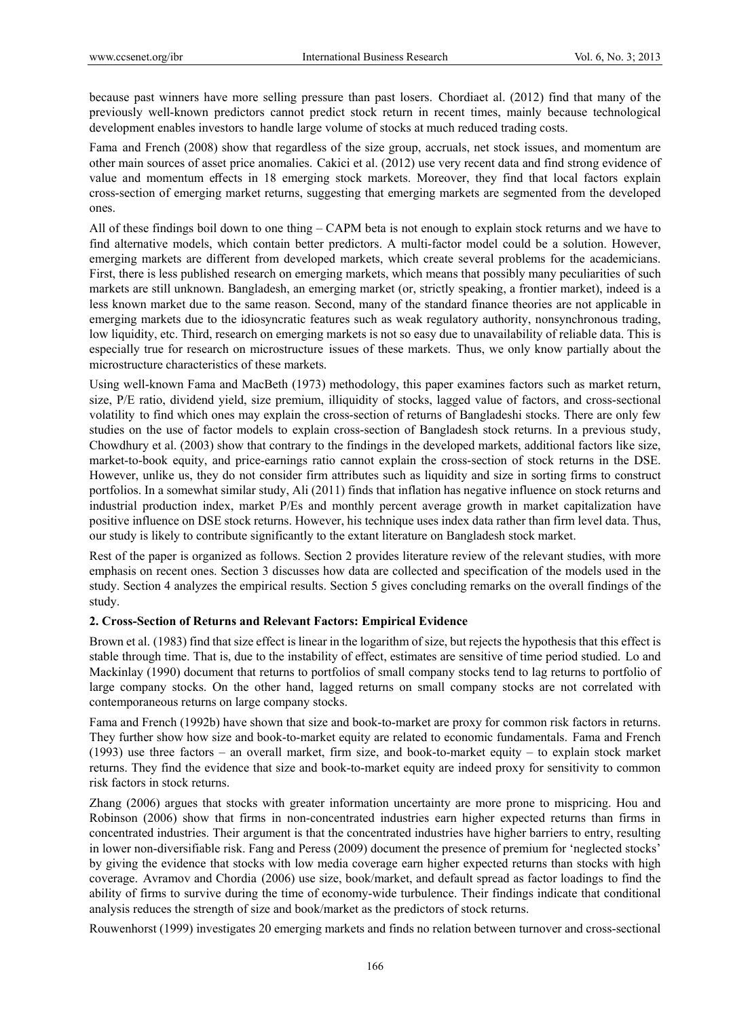because past winners have more selling pressure than past losers. Chordiaet al. (2012) find that many of the previously well-known predictors cannot predict stock return in recent times, mainly because technological development enables investors to handle large volume of stocks at much reduced trading costs.

Fama and French (2008) show that regardless of the size group, accruals, net stock issues, and momentum are other main sources of asset price anomalies. Cakici et al. (2012) use very recent data and find strong evidence of value and momentum effects in 18 emerging stock markets. Moreover, they find that local factors explain cross-section of emerging market returns, suggesting that emerging markets are segmented from the developed ones.

All of these findings boil down to one thing – CAPM beta is not enough to explain stock returns and we have to find alternative models, which contain better predictors. A multi-factor model could be a solution. However, emerging markets are different from developed markets, which create several problems for the academicians. First, there is less published research on emerging markets, which means that possibly many peculiarities of such markets are still unknown. Bangladesh, an emerging market (or, strictly speaking, a frontier market), indeed is a less known market due to the same reason. Second, many of the standard finance theories are not applicable in emerging markets due to the idiosyncratic features such as weak regulatory authority, nonsynchronous trading, low liquidity, etc. Third, research on emerging markets is not so easy due to unavailability of reliable data. This is especially true for research on microstructure issues of these markets. Thus, we only know partially about the microstructure characteristics of these markets.

Using well-known Fama and MacBeth (1973) methodology, this paper examines factors such as market return, size, P/E ratio, dividend yield, size premium, illiquidity of stocks, lagged value of factors, and cross-sectional volatility to find which ones may explain the cross-section of returns of Bangladeshi stocks. There are only few studies on the use of factor models to explain cross-section of Bangladesh stock returns. In a previous study, Chowdhury et al. (2003) show that contrary to the findings in the developed markets, additional factors like size, market-to-book equity, and price-earnings ratio cannot explain the cross-section of stock returns in the DSE. However, unlike us, they do not consider firm attributes such as liquidity and size in sorting firms to construct portfolios. In a somewhat similar study, Ali (2011) finds that inflation has negative influence on stock returns and industrial production index, market P/Es and monthly percent average growth in market capitalization have positive influence on DSE stock returns. However, his technique uses index data rather than firm level data. Thus, our study is likely to contribute significantly to the extant literature on Bangladesh stock market.

Rest of the paper is organized as follows. Section 2 provides literature review of the relevant studies, with more emphasis on recent ones. Section 3 discusses how data are collected and specification of the models used in the study. Section 4 analyzes the empirical results. Section 5 gives concluding remarks on the overall findings of the study.

# **2. Cross-Section of Returns and Relevant Factors: Empirical Evidence**

Brown et al. (1983) find that size effect is linear in the logarithm of size, but rejects the hypothesis that this effect is stable through time. That is, due to the instability of effect, estimates are sensitive of time period studied. Lo and Mackinlay (1990) document that returns to portfolios of small company stocks tend to lag returns to portfolio of large company stocks. On the other hand, lagged returns on small company stocks are not correlated with contemporaneous returns on large company stocks.

Fama and French (1992b) have shown that size and book-to-market are proxy for common risk factors in returns. They further show how size and book-to-market equity are related to economic fundamentals. Fama and French (1993) use three factors – an overall market, firm size, and book-to-market equity – to explain stock market returns. They find the evidence that size and book-to-market equity are indeed proxy for sensitivity to common risk factors in stock returns.

Zhang (2006) argues that stocks with greater information uncertainty are more prone to mispricing. Hou and Robinson (2006) show that firms in non-concentrated industries earn higher expected returns than firms in concentrated industries. Their argument is that the concentrated industries have higher barriers to entry, resulting in lower non-diversifiable risk. Fang and Peress (2009) document the presence of premium for 'neglected stocks' by giving the evidence that stocks with low media coverage earn higher expected returns than stocks with high coverage. Avramov and Chordia (2006) use size, book/market, and default spread as factor loadings to find the ability of firms to survive during the time of economy-wide turbulence. Their findings indicate that conditional analysis reduces the strength of size and book/market as the predictors of stock returns.

Rouwenhorst (1999) investigates 20 emerging markets and finds no relation between turnover and cross-sectional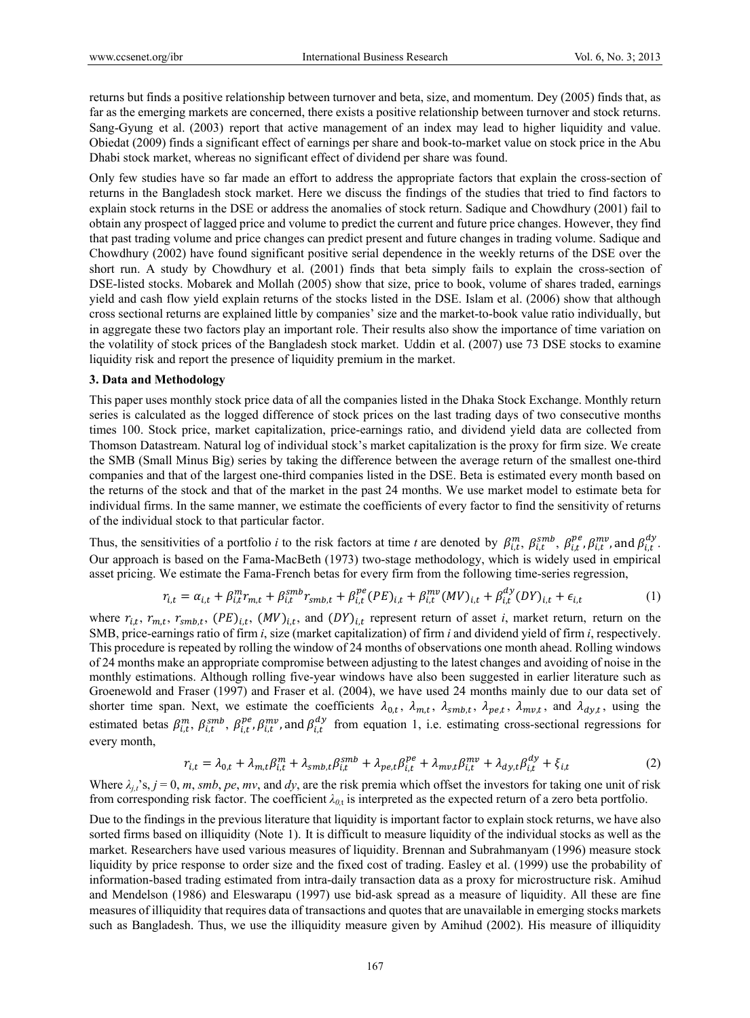returns but finds a positive relationship between turnover and beta, size, and momentum. Dey (2005) finds that, as far as the emerging markets are concerned, there exists a positive relationship between turnover and stock returns. Sang-Gyung et al. (2003) report that active management of an index may lead to higher liquidity and value. Obiedat (2009) finds a significant effect of earnings per share and book-to-market value on stock price in the Abu Dhabi stock market, whereas no significant effect of dividend per share was found.

Only few studies have so far made an effort to address the appropriate factors that explain the cross-section of returns in the Bangladesh stock market. Here we discuss the findings of the studies that tried to find factors to explain stock returns in the DSE or address the anomalies of stock return. Sadique and Chowdhury (2001) fail to obtain any prospect of lagged price and volume to predict the current and future price changes. However, they find that past trading volume and price changes can predict present and future changes in trading volume. Sadique and Chowdhury (2002) have found significant positive serial dependence in the weekly returns of the DSE over the short run. A study by Chowdhury et al. (2001) finds that beta simply fails to explain the cross-section of DSE-listed stocks. Mobarek and Mollah (2005) show that size, price to book, volume of shares traded, earnings yield and cash flow yield explain returns of the stocks listed in the DSE. Islam et al. (2006) show that although cross sectional returns are explained little by companies' size and the market-to-book value ratio individually, but in aggregate these two factors play an important role. Their results also show the importance of time variation on the volatility of stock prices of the Bangladesh stock market. Uddin et al. (2007) use 73 DSE stocks to examine liquidity risk and report the presence of liquidity premium in the market.

#### **3. Data and Methodology**

This paper uses monthly stock price data of all the companies listed in the Dhaka Stock Exchange. Monthly return series is calculated as the logged difference of stock prices on the last trading days of two consecutive months times 100. Stock price, market capitalization, price-earnings ratio, and dividend yield data are collected from Thomson Datastream. Natural log of individual stock's market capitalization is the proxy for firm size. We create the SMB (Small Minus Big) series by taking the difference between the average return of the smallest one-third companies and that of the largest one-third companies listed in the DSE. Beta is estimated every month based on the returns of the stock and that of the market in the past 24 months. We use market model to estimate beta for individual firms. In the same manner, we estimate the coefficients of every factor to find the sensitivity of returns of the individual stock to that particular factor.

Thus, the sensitivities of a portfolio *i* to the risk factors at time *t* are denoted by  $\beta_{i,t}^m$ ,  $\beta_{i,t}^{smb}$ ,  $\beta_{i,t}^{pe}$ ,  $\beta_{i,t}^{mv}$ , and  $\beta_{i,t}^{dy}$ . Our approach is based on the Fama-MacBeth (1973) two-stage methodology, which is widely used in empirical asset pricing. We estimate the Fama-French betas for every firm from the following time-series regression,

$$
r_{i,t} = \alpha_{i,t} + \beta_{i,t}^m r_{m,t} + \beta_{i,t}^{smb} r_{smb,t} + \beta_{i,t}^{pe} (PE)_{i,t} + \beta_{i,t}^{mv} (MV)_{i,t} + \beta_{i,t}^{dy} (DY)_{i,t} + \epsilon_{i,t}
$$
(1)

where  $r_{i,t}$ ,  $r_{smb,t}$ ,  $(r_{smb,t}$ ,  $(PE)_{i,t}$ ,  $(MV)_{i,t}$ , and  $(DY)_{i,t}$  represent return of asset *i*, market return, return on the SMB, price-earnings ratio of firm *i*, size (market capitalization) of firm *i* and dividend yield of firm *i*, respectively. This procedure is repeated by rolling the window of 24 months of observations one month ahead. Rolling windows of 24 months make an appropriate compromise between adjusting to the latest changes and avoiding of noise in the monthly estimations. Although rolling five-year windows have also been suggested in earlier literature such as Groenewold and Fraser (1997) and Fraser et al. (2004), we have used 24 months mainly due to our data set of shorter time span. Next, we estimate the coefficients  $\lambda_{0,t}$ ,  $\lambda_{m,t}$ ,  $\lambda_{smb,t}$ ,  $\lambda_{pe,t}$ ,  $\lambda_{mv,t}$ , and  $\lambda_{dy,t}$ , using the estimated betas  $\beta_{i,t}^m$ ,  $\beta_{i,t}^{smb}$ ,  $\beta_{i,t}^{pv}$ ,  $\beta_{i,t}^{mv}$ , and  $\beta_{i,t}^{dy}$  from equation 1, i.e. estimating cross-sectional regressions for every month,

$$
r_{i,t} = \lambda_{0,t} + \lambda_{m,t} \beta_{i,t}^m + \lambda_{smb,t} \beta_{i,t}^{smb} + \lambda_{pe,t} \beta_{i,t}^{pe} + \lambda_{mv,t} \beta_{i,t}^{mv} + \lambda_{dy,t} \beta_{i,t}^{dy} + \xi_{i,t}
$$
 (2)

Where  $\lambda_{i,t}$ 's,  $j = 0$ , *m*, *smb*, *pe*, *mv*, and *dy*, are the risk premia which offset the investors for taking one unit of risk from corresponding risk factor. The coefficient *λ0,*t is interpreted as the expected return of a zero beta portfolio.

Due to the findings in the previous literature that liquidity is important factor to explain stock returns, we have also sorted firms based on illiquidity (Note 1). It is difficult to measure liquidity of the individual stocks as well as the market. Researchers have used various measures of liquidity. Brennan and Subrahmanyam (1996) measure stock liquidity by price response to order size and the fixed cost of trading. Easley et al. (1999) use the probability of information-based trading estimated from intra-daily transaction data as a proxy for microstructure risk. Amihud and Mendelson (1986) and Eleswarapu (1997) use bid-ask spread as a measure of liquidity. All these are fine measures of illiquidity that requires data of transactions and quotes that are unavailable in emerging stocks markets such as Bangladesh. Thus, we use the illiquidity measure given by Amihud (2002). His measure of illiquidity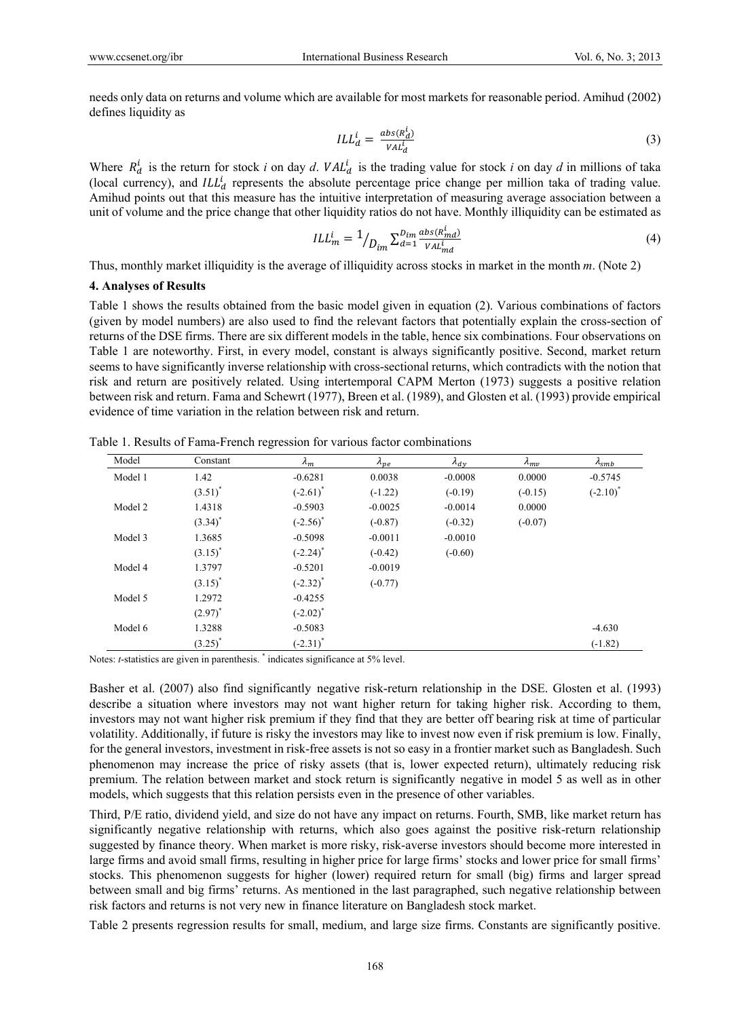needs only data on returns and volume which are available for most markets for reasonable period. Amihud (2002) defines liquidity as

$$
ILL_d^i = \frac{abs(R_d^i)}{val_d^i} \tag{3}
$$

Where  $R_d^i$  is the return for stock *i* on day *d*.  $VAL^i_d$  is the trading value for stock *i* on day *d* in millions of taka (local currency), and  $ILL_d^i$  represents the absolute percentage price change per million taka of trading value. Amihud points out that this measure has the intuitive interpretation of measuring average association between a unit of volume and the price change that other liquidity ratios do not have. Monthly illiquidity can be estimated as

$$
ILL_m^i = 1/ \sum_{\substack{lm}} \sum_{d=1}^{D_{im}} \frac{abs(R_{md}^i)}{\text{val}_{md}^i} \tag{4}
$$

Thus, monthly market illiquidity is the average of illiquidity across stocks in market in the month *m*. (Note 2)

#### **4. Analyses of Results**

Table 1 shows the results obtained from the basic model given in equation (2). Various combinations of factors (given by model numbers) are also used to find the relevant factors that potentially explain the cross-section of returns of the DSE firms. There are six different models in the table, hence six combinations. Four observations on Table 1 are noteworthy. First, in every model, constant is always significantly positive. Second, market return seems to have significantly inverse relationship with cross-sectional returns, which contradicts with the notion that risk and return are positively related. Using intertemporal CAPM Merton (1973) suggests a positive relation between risk and return. Fama and Schewrt (1977), Breen et al. (1989), and Glosten et al. (1993) provide empirical evidence of time variation in the relation between risk and return.

| Model   | Constant     | $\lambda_m$   | $\lambda_{pe}$ | $\lambda_{dy}$ | $\lambda_{mv}$ | $\lambda_{smb}$ |
|---------|--------------|---------------|----------------|----------------|----------------|-----------------|
| Model 1 | 1.42         | $-0.6281$     | 0.0038         | $-0.0008$      | 0.0000         | $-0.5745$       |
|         | $(3.51)^{*}$ | $(-2.61)^*$   | $(-1.22)$      | $(-0.19)$      | $(-0.15)$      | $(-2.10)^*$     |
| Model 2 | 1.4318       | $-0.5903$     | $-0.0025$      | $-0.0014$      | 0.0000         |                 |
|         | $(3.34)^{*}$ | $(-2.56)^*$   | $(-0.87)$      | $(-0.32)$      | $(-0.07)$      |                 |
| Model 3 | 1.3685       | $-0.5098$     | $-0.0011$      | $-0.0010$      |                |                 |
|         | $(3.15)^{*}$ | $(-2.24)^*$   | $(-0.42)$      | $(-0.60)$      |                |                 |
| Model 4 | 1.3797       | $-0.5201$     | $-0.0019$      |                |                |                 |
|         | $(3.15)^{*}$ | $(-2.32)^{*}$ | $(-0.77)$      |                |                |                 |
| Model 5 | 1.2972       | $-0.4255$     |                |                |                |                 |
|         | $(2.97)^*$   | $(-2.02)^*$   |                |                |                |                 |
| Model 6 | 1.3288       | $-0.5083$     |                |                |                | $-4.630$        |
|         | $(3.25)^{*}$ | $(-2.31)^*$   |                |                |                | $(-1.82)$       |

Table 1. Results of Fama-French regression for various factor combinations

Notes: *t*-statistics are given in parenthesis. \* indicates significance at 5% level.

Basher et al. (2007) also find significantly negative risk-return relationship in the DSE. Glosten et al. (1993) describe a situation where investors may not want higher return for taking higher risk. According to them, investors may not want higher risk premium if they find that they are better off bearing risk at time of particular volatility. Additionally, if future is risky the investors may like to invest now even if risk premium is low. Finally, for the general investors, investment in risk-free assets is not so easy in a frontier market such as Bangladesh. Such phenomenon may increase the price of risky assets (that is, lower expected return), ultimately reducing risk premium. The relation between market and stock return is significantly negative in model 5 as well as in other models, which suggests that this relation persists even in the presence of other variables.

Third, P/E ratio, dividend yield, and size do not have any impact on returns. Fourth, SMB, like market return has significantly negative relationship with returns, which also goes against the positive risk-return relationship suggested by finance theory. When market is more risky, risk-averse investors should become more interested in large firms and avoid small firms, resulting in higher price for large firms' stocks and lower price for small firms' stocks. This phenomenon suggests for higher (lower) required return for small (big) firms and larger spread between small and big firms' returns. As mentioned in the last paragraphed, such negative relationship between risk factors and returns is not very new in finance literature on Bangladesh stock market.

Table 2 presents regression results for small, medium, and large size firms. Constants are significantly positive.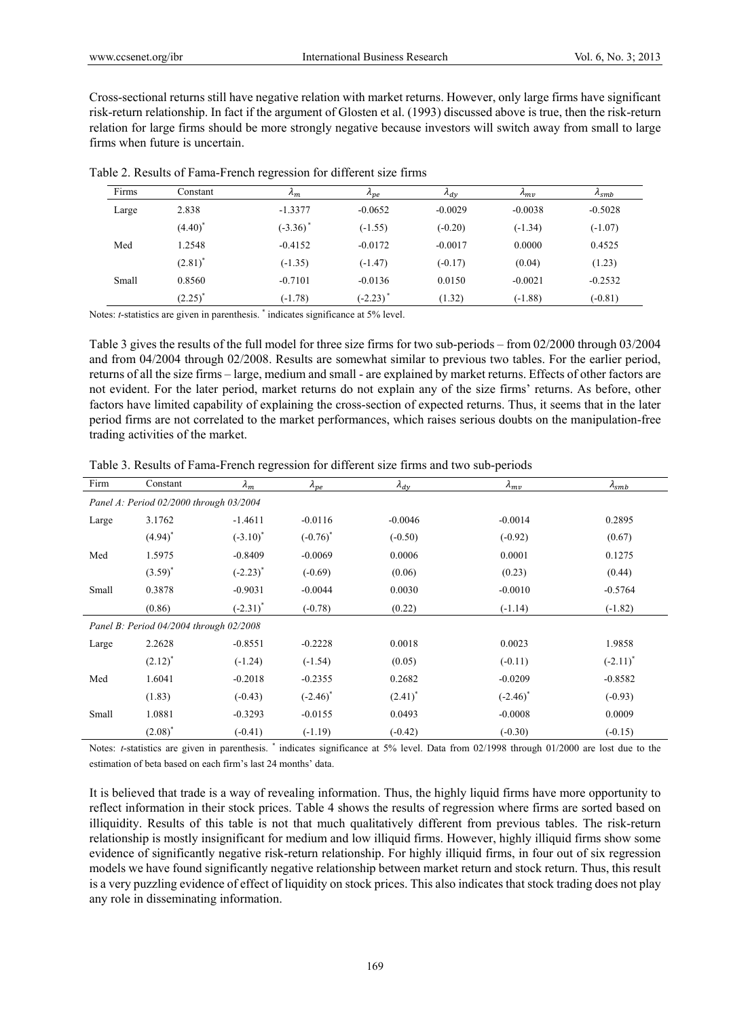Cross-sectional returns still have negative relation with market returns. However, only large firms have significant risk-return relationship. In fact if the argument of Glosten et al. (1993) discussed above is true, then the risk-return relation for large firms should be more strongly negative because investors will switch away from small to large firms when future is uncertain.

| Firms | Constant   | $\Lambda_m$ | $\Lambda_{pe}$ | $\Lambda_{d\nu}$ | $\lambda_{mv}$ | $\Lambda_{smb}$ |
|-------|------------|-------------|----------------|------------------|----------------|-----------------|
| Large | 2.838      | $-1.3377$   | $-0.0652$      | $-0.0029$        | $-0.0038$      | $-0.5028$       |
|       | $(4.40)^*$ | $(-3.36)$   | $(-1.55)$      | $(-0.20)$        | $(-1.34)$      | $(-1.07)$       |
| Med   | 1.2548     | $-0.4152$   | $-0.0172$      | $-0.0017$        | 0.0000         | 0.4525          |
|       | $(2.81)^*$ | $(-1.35)$   | $(-1.47)$      | $(-0.17)$        | (0.04)         | (1.23)          |
| Small | 0.8560     | $-0.7101$   | $-0.0136$      | 0.0150           | $-0.0021$      | $-0.2532$       |
|       | $(2.25)^*$ | $(-1.78)$   | $(-2.23)^*$    | (1.32)           | $(-1.88)$      | $(-0.81)$       |

| Table 2. Results of Fama-French regression for different size firms |  |  |  |  |  |  |  |  |  |
|---------------------------------------------------------------------|--|--|--|--|--|--|--|--|--|
|---------------------------------------------------------------------|--|--|--|--|--|--|--|--|--|

Notes: *t*-statistics are given in parenthesis. \* indicates significance at 5% level.

Table 3 gives the results of the full model for three size firms for two sub-periods – from 02/2000 through 03/2004 and from 04/2004 through 02/2008. Results are somewhat similar to previous two tables. For the earlier period, returns of all the size firms – large, medium and small - are explained by market returns. Effects of other factors are not evident. For the later period, market returns do not explain any of the size firms' returns. As before, other factors have limited capability of explaining the cross-section of expected returns. Thus, it seems that in the later period firms are not correlated to the market performances, which raises serious doubts on the manipulation-free trading activities of the market.

| Firm                                    | Constant                                | $\lambda_m$   | $\lambda_{pe}$ | $\lambda_{dy}$ | $\lambda_{mv}$ | $\lambda_{smb}$ |  |  |  |  |
|-----------------------------------------|-----------------------------------------|---------------|----------------|----------------|----------------|-----------------|--|--|--|--|
| Panel A: Period 02/2000 through 03/2004 |                                         |               |                |                |                |                 |  |  |  |  |
| Large                                   | 3.1762                                  | $-1.4611$     | $-0.0116$      | $-0.0046$      | $-0.0014$      | 0.2895          |  |  |  |  |
|                                         | $(4.94)^{*}$                            | $(-3.10)^*$   | $(-0.76)^*$    | $(-0.50)$      | $(-0.92)$      | (0.67)          |  |  |  |  |
| Med                                     | 1.5975                                  | $-0.8409$     | $-0.0069$      | 0.0006         | 0.0001         | 0.1275          |  |  |  |  |
|                                         | $(3.59)^{*}$                            | $(-2.23)^{*}$ | $(-0.69)$      | (0.06)         | (0.23)         | (0.44)          |  |  |  |  |
| Small                                   | 0.3878                                  | $-0.9031$     | $-0.0044$      | 0.0030         | $-0.0010$      | $-0.5764$       |  |  |  |  |
|                                         | (0.86)                                  | $(-2.31)^*$   | $(-0.78)$      | (0.22)         | $(-1.14)$      | $(-1.82)$       |  |  |  |  |
|                                         | Panel B: Period 04/2004 through 02/2008 |               |                |                |                |                 |  |  |  |  |
| Large                                   | 2.2628                                  | $-0.8551$     | $-0.2228$      | 0.0018         | 0.0023         | 1.9858          |  |  |  |  |
|                                         | $(2.12)^{*}$                            | $(-1.24)$     | $(-1.54)$      | (0.05)         | $(-0.11)$      | $(-2.11)^*$     |  |  |  |  |
| Med                                     | 1.6041                                  | $-0.2018$     | $-0.2355$      | 0.2682         | $-0.0209$      | $-0.8582$       |  |  |  |  |
|                                         | (1.83)                                  | $(-0.43)$     | $(-2.46)^*$    | $(2.41)^*$     | $(-2.46)^*$    | $(-0.93)$       |  |  |  |  |
| Small                                   | 1.0881                                  | $-0.3293$     | $-0.0155$      | 0.0493         | $-0.0008$      | 0.0009          |  |  |  |  |
|                                         | $(2.08)^*$                              | $(-0.41)$     | $(-1.19)$      | $(-0.42)$      | $(-0.30)$      | $(-0.15)$       |  |  |  |  |

Table 3. Results of Fama-French regression for different size firms and two sub-periods

Notes: *t*-statistics are given in parenthesis. \* indicates significance at 5% level. Data from 02/1998 through 01/2000 are lost due to the estimation of beta based on each firm's last 24 months' data.

It is believed that trade is a way of revealing information. Thus, the highly liquid firms have more opportunity to reflect information in their stock prices. Table 4 shows the results of regression where firms are sorted based on illiquidity. Results of this table is not that much qualitatively different from previous tables. The risk-return relationship is mostly insignificant for medium and low illiquid firms. However, highly illiquid firms show some evidence of significantly negative risk-return relationship. For highly illiquid firms, in four out of six regression models we have found significantly negative relationship between market return and stock return. Thus, this result is a very puzzling evidence of effect of liquidity on stock prices. This also indicates that stock trading does not play any role in disseminating information.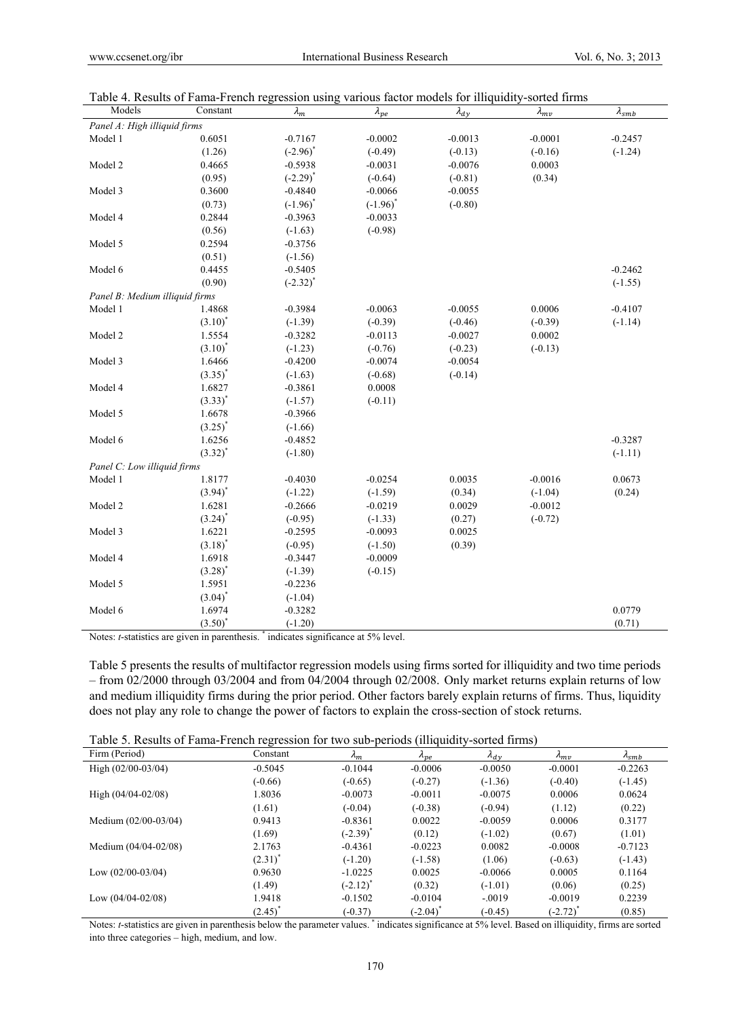| Models                         | $\ldots$ resource of Fund French regi<br>Constant | coorer aoni<br>$\lambda_m$ | $\lambda_{pe}$ | rarroas raetor moders for miquidit<br>$\lambda_{dy}$ | <b>DOLLOW LILLIN</b><br>$\lambda_{\underline{mv}}$ | $\lambda_{\underline{smb}}$ |
|--------------------------------|---------------------------------------------------|----------------------------|----------------|------------------------------------------------------|----------------------------------------------------|-----------------------------|
| Panel A: High illiquid firms   |                                                   |                            |                |                                                      |                                                    |                             |
| Model 1                        | 0.6051                                            | $-0.7167$                  | $-0.0002$      | $-0.0013$                                            | $-0.0001$                                          | $-0.2457$                   |
|                                | (1.26)                                            | $(-2.96)^{*}$              | $(-0.49)$      | $(-0.13)$                                            | $(-0.16)$                                          | $(-1.24)$                   |
| Model 2                        | 0.4665                                            | $-0.5938$                  | $-0.0031$      | $-0.0076$                                            | 0.0003                                             |                             |
|                                | (0.95)                                            | $(-2.29)^{*}$              | $(-0.64)$      | $(-0.81)$                                            | (0.34)                                             |                             |
| Model 3                        | 0.3600                                            | $-0.4840$                  | $-0.0066$      | $-0.0055$                                            |                                                    |                             |
|                                | (0.73)                                            | $(-1.96)^*$                | $(-1.96)^*$    | $(-0.80)$                                            |                                                    |                             |
| Model 4                        | 0.2844                                            | $-0.3963$                  | $-0.0033$      |                                                      |                                                    |                             |
|                                | (0.56)                                            | $(-1.63)$                  | $(-0.98)$      |                                                      |                                                    |                             |
| Model 5                        | 0.2594                                            | $-0.3756$                  |                |                                                      |                                                    |                             |
|                                | (0.51)                                            | $(-1.56)$                  |                |                                                      |                                                    |                             |
| Model 6                        | 0.4455                                            | $-0.5405$                  |                |                                                      |                                                    | $-0.2462$                   |
|                                | (0.90)                                            | $(-2.32)^{*}$              |                |                                                      |                                                    | $(-1.55)$                   |
| Panel B: Medium illiquid firms |                                                   |                            |                |                                                      |                                                    |                             |
| Model 1                        | 1.4868                                            | $-0.3984$                  | $-0.0063$      | $-0.0055$                                            | 0.0006                                             | $-0.4107$                   |
|                                | $(3.10)^{*}$                                      | $(-1.39)$                  | $(-0.39)$      | $(-0.46)$                                            | $(-0.39)$                                          | $(-1.14)$                   |
| Model 2                        | 1.5554                                            | $-0.3282$                  | $-0.0113$      | $-0.0027$                                            | 0.0002                                             |                             |
|                                | $(3.10)^{*}$                                      | $(-1.23)$                  | $(-0.76)$      | $(-0.23)$                                            | $(-0.13)$                                          |                             |
| Model 3                        | 1.6466                                            | $-0.4200$                  | $-0.0074$      | $-0.0054$                                            |                                                    |                             |
|                                | $(3.35)^{*}$                                      | $(-1.63)$                  | $(-0.68)$      | $(-0.14)$                                            |                                                    |                             |
| Model 4                        | 1.6827                                            | $-0.3861$                  | 0.0008         |                                                      |                                                    |                             |
|                                | $(3.33)^{*}$                                      | $(-1.57)$                  | $(-0.11)$      |                                                      |                                                    |                             |
| Model 5                        | 1.6678                                            | $-0.3966$                  |                |                                                      |                                                    |                             |
|                                | $(3.25)^{*}$                                      | $(-1.66)$                  |                |                                                      |                                                    |                             |
| Model 6                        | 1.6256                                            | $-0.4852$                  |                |                                                      |                                                    | $-0.3287$                   |
|                                | $(3.32)^{*}$                                      | $(-1.80)$                  |                |                                                      |                                                    | $(-1.11)$                   |
| Panel C: Low illiquid firms    |                                                   |                            |                |                                                      |                                                    |                             |
| Model 1                        | 1.8177                                            | $-0.4030$                  | $-0.0254$      | 0.0035                                               | $-0.0016$                                          | 0.0673                      |
|                                | $(3.94)^{*}$                                      | $(-1.22)$                  | $(-1.59)$      | (0.34)                                               | $(-1.04)$                                          | (0.24)                      |
| Model 2                        | 1.6281                                            | $-0.2666$                  | $-0.0219$      | 0.0029                                               | $-0.0012$                                          |                             |
|                                | $(3.24)^{*}$                                      | $(-0.95)$                  | $(-1.33)$      | (0.27)                                               | $(-0.72)$                                          |                             |
| Model 3                        | 1.6221                                            | $-0.2595$                  | $-0.0093$      | 0.0025                                               |                                                    |                             |
|                                | $(3.18)^{*}$                                      | $(-0.95)$                  | $(-1.50)$      | (0.39)                                               |                                                    |                             |
| Model 4                        | 1.6918                                            | $-0.3447$                  | $-0.0009$      |                                                      |                                                    |                             |
|                                | $(3.28)^{*}$                                      | $(-1.39)$                  | $(-0.15)$      |                                                      |                                                    |                             |
| Model 5                        | 1.5951                                            | $-0.2236$                  |                |                                                      |                                                    |                             |
|                                | $(3.04)^{*}$                                      | $(-1.04)$                  |                |                                                      |                                                    |                             |
| Model 6                        | 1.6974                                            | $-0.3282$                  |                |                                                      |                                                    | 0.0779                      |
|                                | $(3.50)^{*}$                                      | $(-1.20)$                  |                |                                                      |                                                    | (0.71)                      |

|  |  | Table 4. Results of Fama-French regression using various factor models for illiquidity-sorted firms |  |  |  |  |
|--|--|-----------------------------------------------------------------------------------------------------|--|--|--|--|
|  |  |                                                                                                     |  |  |  |  |
|  |  |                                                                                                     |  |  |  |  |
|  |  |                                                                                                     |  |  |  |  |

Notes: *t*-statistics are given in parenthesis. \* indicates significance at 5% level.

Table 5 presents the results of multifactor regression models using firms sorted for illiquidity and two time periods – from 02/2000 through 03/2004 and from 04/2004 through 02/2008. Only market returns explain returns of low and medium illiquidity firms during the prior period. Other factors barely explain returns of firms. Thus, liquidity does not play any role to change the power of factors to explain the cross-section of stock returns.

|  |  | Table 5. Results of Fama-French regression for two sub-periods (illiquidity-sorted firms) |  |  |  |  |
|--|--|-------------------------------------------------------------------------------------------|--|--|--|--|
|  |  |                                                                                           |  |  |  |  |

| Firm (Period)         | ے ۔<br>Constant       | $\lambda_m$   | $\Lambda_{pe}$ | $\Lambda_{dy}$ | $\lambda_{mv}$         | $\Lambda_{smb}$ |
|-----------------------|-----------------------|---------------|----------------|----------------|------------------------|-----------------|
| High (02/00-03/04)    | $-0.5045$             | $-0.1044$     | $-0.0006$      | $-0.0050$      | $-0.0001$              | $-0.2263$       |
|                       | $(-0.66)$             | $(-0.65)$     | $(-0.27)$      | $(-1.36)$      | $(-0.40)$              | $(-1.45)$       |
| High $(04/04-02/08)$  | 1.8036                | $-0.0073$     | $-0.0011$      | $-0.0075$      | 0.0006                 | 0.0624          |
|                       | (1.61)                | $(-0.04)$     | $(-0.38)$      | $(-0.94)$      | (1.12)                 | (0.22)          |
| Medium (02/00-03/04)  | 0.9413                | $-0.8361$     | 0.0022         | $-0.0059$      | 0.0006                 | 0.3177          |
|                       | (1.69)                | $(-2.39)^{*}$ | (0.12)         | $(-1.02)$      | (0.67)                 | (1.01)          |
| Medium (04/04-02/08)  | 2.1763                | $-0.4361$     | $-0.0223$      | 0.0082         | $-0.0008$              | $-0.7123$       |
|                       | $(2.31)$ <sup>*</sup> | $(-1.20)$     | $(-1.58)$      | (1.06)         | $(-0.63)$              | $(-1.43)$       |
| Low $(02/00-03/04)$   | 0.9630                | $-1.0225$     | 0.0025         | $-0.0066$      | 0.0005                 | 0.1164          |
|                       | (1.49)                | $(-2.12)^{r}$ | (0.32)         | $(-1.01)$      | (0.06)                 | (0.25)          |
| Low $(04/04 - 02/08)$ | 1.9418                | $-0.1502$     | $-0.0104$      | $-.0019$       | $-0.0019$              | 0.2239          |
|                       | (2.45)                | $(-0.37)$     | $(-2.04)$      | $(-0.45)$      | $(-2.72)$ <sup>*</sup> | (0.85)          |

Notes: *t*-statistics are given in parenthesis below the parameter values. \* indicates significance at 5% level. Based on illiquidity, firms are sorted into three categories – high, medium, and low.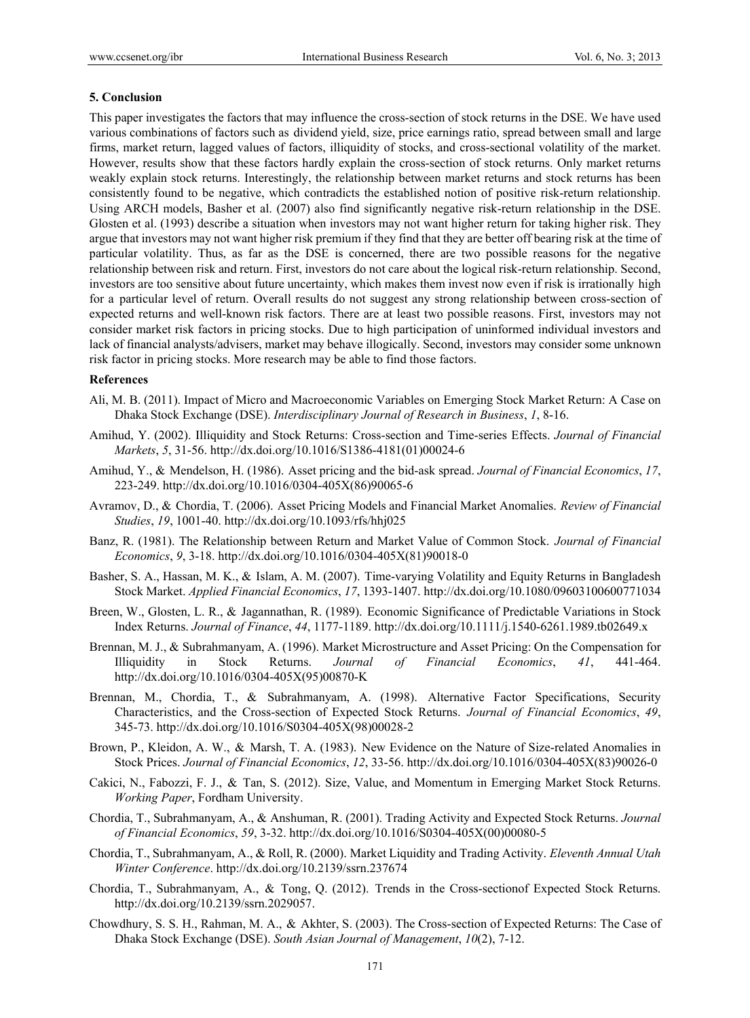## **5. Conclusion**

This paper investigates the factors that may influence the cross-section of stock returns in the DSE. We have used various combinations of factors such as dividend yield, size, price earnings ratio, spread between small and large firms, market return, lagged values of factors, illiquidity of stocks, and cross-sectional volatility of the market. However, results show that these factors hardly explain the cross-section of stock returns. Only market returns weakly explain stock returns. Interestingly, the relationship between market returns and stock returns has been consistently found to be negative, which contradicts the established notion of positive risk-return relationship. Using ARCH models, Basher et al. (2007) also find significantly negative risk-return relationship in the DSE. Glosten et al. (1993) describe a situation when investors may not want higher return for taking higher risk. They argue that investors may not want higher risk premium if they find that they are better off bearing risk at the time of particular volatility. Thus, as far as the DSE is concerned, there are two possible reasons for the negative relationship between risk and return. First, investors do not care about the logical risk-return relationship. Second, investors are too sensitive about future uncertainty, which makes them invest now even if risk is irrationally high for a particular level of return. Overall results do not suggest any strong relationship between cross-section of expected returns and well-known risk factors. There are at least two possible reasons. First, investors may not consider market risk factors in pricing stocks. Due to high participation of uninformed individual investors and lack of financial analysts/advisers, market may behave illogically. Second, investors may consider some unknown risk factor in pricing stocks. More research may be able to find those factors.

#### **References**

- Ali, M. B. (2011). Impact of Micro and Macroeconomic Variables on Emerging Stock Market Return: A Case on Dhaka Stock Exchange (DSE). *Interdisciplinary Journal of Research in Business*, *1*, 8-16.
- Amihud, Y. (2002). Illiquidity and Stock Returns: Cross-section and Time-series Effects. *Journal of Financial Markets*, *5*, 31-56. http://dx.doi.org/10.1016/S1386-4181(01)00024-6
- Amihud, Y., & Mendelson, H. (1986). Asset pricing and the bid-ask spread. *Journal of Financial Economics*, *17*, 223-249. http://dx.doi.org/10.1016/0304-405X(86)90065-6
- Avramov, D., & Chordia, T. (2006). Asset Pricing Models and Financial Market Anomalies. *Review of Financial Studies*, *19*, 1001-40. http://dx.doi.org/10.1093/rfs/hhj025
- Banz, R. (1981). The Relationship between Return and Market Value of Common Stock. *Journal of Financial Economics*, *9*, 3-18. http://dx.doi.org/10.1016/0304-405X(81)90018-0
- Basher, S. A., Hassan, M. K., & Islam, A. M. (2007). Time-varying Volatility and Equity Returns in Bangladesh Stock Market. *Applied Financial Economics*, *17*, 1393-1407. http://dx.doi.org/10.1080/09603100600771034
- Breen, W., Glosten, L. R., & Jagannathan, R. (1989). Economic Significance of Predictable Variations in Stock Index Returns. *Journal of Finance*, *44*, 1177-1189. http://dx.doi.org/10.1111/j.1540-6261.1989.tb02649.x
- Brennan, M. J., & Subrahmanyam, A. (1996). Market Microstructure and Asset Pricing: On the Compensation for Illiquidity in Stock Returns. *Journal of Financial Economics*, *41*, 441-464. http://dx.doi.org/10.1016/0304-405X(95)00870-K
- Brennan, M., Chordia, T., & Subrahmanyam, A. (1998). Alternative Factor Specifications, Security Characteristics, and the Cross-section of Expected Stock Returns. *Journal of Financial Economics*, *49*, 345-73. http://dx.doi.org/10.1016/S0304-405X(98)00028-2
- Brown, P., Kleidon, A. W., & Marsh, T. A. (1983). New Evidence on the Nature of Size-related Anomalies in Stock Prices. *Journal of Financial Economics*, *12*, 33-56. http://dx.doi.org/10.1016/0304-405X(83)90026-0
- Cakici, N., Fabozzi, F. J., & Tan, S. (2012). Size, Value, and Momentum in Emerging Market Stock Returns. *Working Paper*, Fordham University.
- Chordia, T., Subrahmanyam, A., & Anshuman, R. (2001). Trading Activity and Expected Stock Returns. *Journal of Financial Economics*, *59*, 3-32. http://dx.doi.org/10.1016/S0304-405X(00)00080-5
- Chordia, T., Subrahmanyam, A., & Roll, R. (2000). Market Liquidity and Trading Activity. *Eleventh Annual Utah Winter Conference*. http://dx.doi.org/10.2139/ssrn.237674
- Chordia, T., Subrahmanyam, A., & Tong, Q. (2012). Trends in the Cross-sectionof Expected Stock Returns. http://dx.doi.org/10.2139/ssrn.2029057.
- Chowdhury, S. S. H., Rahman, M. A., & Akhter, S. (2003). The Cross-section of Expected Returns: The Case of Dhaka Stock Exchange (DSE). *South Asian Journal of Management*, *10*(2), 7-12.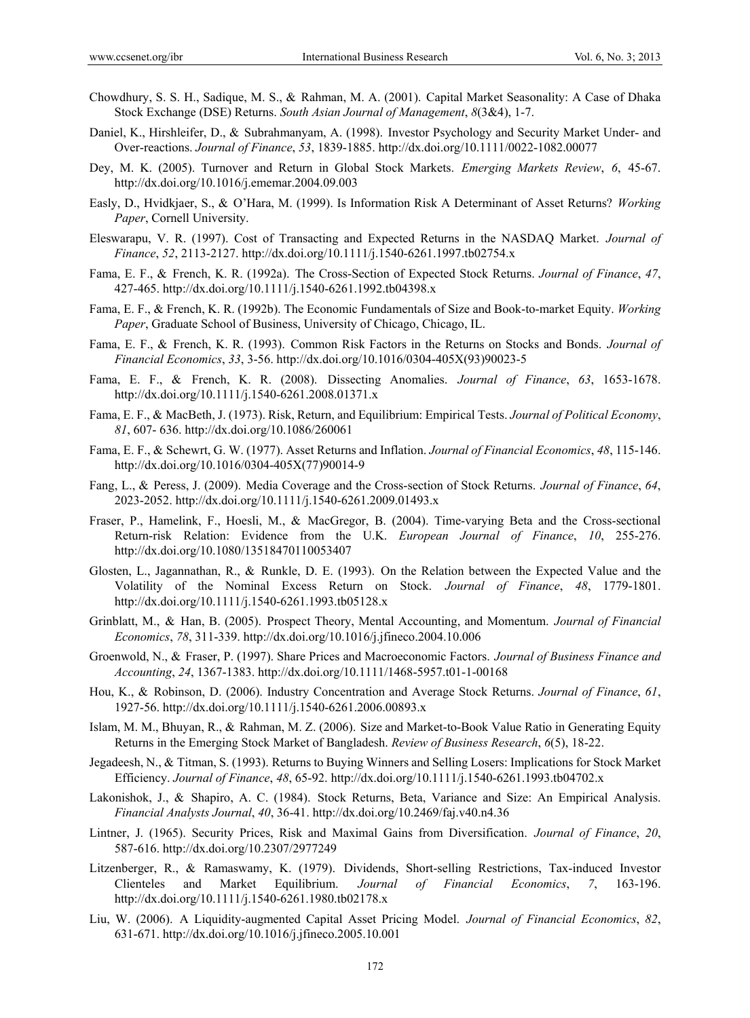- Chowdhury, S. S. H., Sadique, M. S., & Rahman, M. A. (2001). Capital Market Seasonality: A Case of Dhaka Stock Exchange (DSE) Returns. *South Asian Journal of Management*, *8*(3&4), 1-7.
- Daniel, K., Hirshleifer, D., & Subrahmanyam, A. (1998). Investor Psychology and Security Market Under- and Over-reactions. *Journal of Finance*, *53*, 1839-1885. http://dx.doi.org/10.1111/0022-1082.00077
- Dey, M. K. (2005). Turnover and Return in Global Stock Markets. *Emerging Markets Review*, *6*, 45-67. http://dx.doi.org/10.1016/j.ememar.2004.09.003
- Easly, D., Hvidkjaer, S., & O'Hara, M. (1999). Is Information Risk A Determinant of Asset Returns? *Working Paper*, Cornell University.
- Eleswarapu, V. R. (1997). Cost of Transacting and Expected Returns in the NASDAQ Market. *Journal of Finance*, *52*, 2113-2127. http://dx.doi.org/10.1111/j.1540-6261.1997.tb02754.x
- Fama, E. F., & French, K. R. (1992a). The Cross-Section of Expected Stock Returns. *Journal of Finance*, *47*, 427-465. http://dx.doi.org/10.1111/j.1540-6261.1992.tb04398.x
- Fama, E. F., & French, K. R. (1992b). The Economic Fundamentals of Size and Book-to-market Equity. *Working Paper*, Graduate School of Business, University of Chicago, Chicago, IL.
- Fama, E. F., & French, K. R. (1993). Common Risk Factors in the Returns on Stocks and Bonds. *Journal of Financial Economics*, *33*, 3-56. http://dx.doi.org/10.1016/0304-405X(93)90023-5
- Fama, E. F., & French, K. R. (2008). Dissecting Anomalies. *Journal of Finance*, *63*, 1653-1678. http://dx.doi.org/10.1111/j.1540-6261.2008.01371.x
- Fama, E. F., & MacBeth, J. (1973). Risk, Return, and Equilibrium: Empirical Tests. *Journal of Political Economy*, *81*, 607- 636. http://dx.doi.org/10.1086/260061
- Fama, E. F., & Schewrt, G. W. (1977). Asset Returns and Inflation. *Journal of Financial Economics*, *48*, 115-146. http://dx.doi.org/10.1016/0304-405X(77)90014-9
- Fang, L., & Peress, J. (2009). Media Coverage and the Cross-section of Stock Returns. *Journal of Finance*, *64*, 2023-2052. http://dx.doi.org/10.1111/j.1540-6261.2009.01493.x
- Fraser, P., Hamelink, F., Hoesli, M., & MacGregor, B. (2004). Time-varying Beta and the Cross-sectional Return-risk Relation: Evidence from the U.K. *European Journal of Finance*, *10*, 255-276. http://dx.doi.org/10.1080/13518470110053407
- Glosten, L., Jagannathan, R., & Runkle, D. E. (1993). On the Relation between the Expected Value and the Volatility of the Nominal Excess Return on Stock. *Journal of Finance*, *48*, 1779-1801. http://dx.doi.org/10.1111/j.1540-6261.1993.tb05128.x
- Grinblatt, M., & Han, B. (2005). Prospect Theory, Mental Accounting, and Momentum. *Journal of Financial Economics*, *78*, 311-339. http://dx.doi.org/10.1016/j.jfineco.2004.10.006
- Groenwold, N., & Fraser, P. (1997). Share Prices and Macroeconomic Factors. *Journal of Business Finance and Accounting*, *24*, 1367-1383. http://dx.doi.org/10.1111/1468-5957.t01-1-00168
- Hou, K., & Robinson, D. (2006). Industry Concentration and Average Stock Returns. *Journal of Finance*, *61*, 1927-56. http://dx.doi.org/10.1111/j.1540-6261.2006.00893.x
- Islam, M. M., Bhuyan, R., & Rahman, M. Z. (2006). Size and Market-to-Book Value Ratio in Generating Equity Returns in the Emerging Stock Market of Bangladesh. *Review of Business Research*, *6*(5), 18-22.
- Jegadeesh, N., & Titman, S. (1993). Returns to Buying Winners and Selling Losers: Implications for Stock Market Efficiency. *Journal of Finance*, *48*, 65-92. http://dx.doi.org/10.1111/j.1540-6261.1993.tb04702.x
- Lakonishok, J., & Shapiro, A. C. (1984). Stock Returns, Beta, Variance and Size: An Empirical Analysis. *Financial Analysts Journal*, *40*, 36-41. http://dx.doi.org/10.2469/faj.v40.n4.36
- Lintner, J. (1965). Security Prices, Risk and Maximal Gains from Diversification. *Journal of Finance*, *20*, 587-616. http://dx.doi.org/10.2307/2977249
- Litzenberger, R., & Ramaswamy, K. (1979). Dividends, Short-selling Restrictions, Tax-induced Investor Clienteles and Market Equilibrium. *Journal of Financial Economics*, *7*, 163-196. http://dx.doi.org/10.1111/j.1540-6261.1980.tb02178.x
- Liu, W. (2006). A Liquidity-augmented Capital Asset Pricing Model. *Journal of Financial Economics*, *82*, 631-671. http://dx.doi.org/10.1016/j.jfineco.2005.10.001